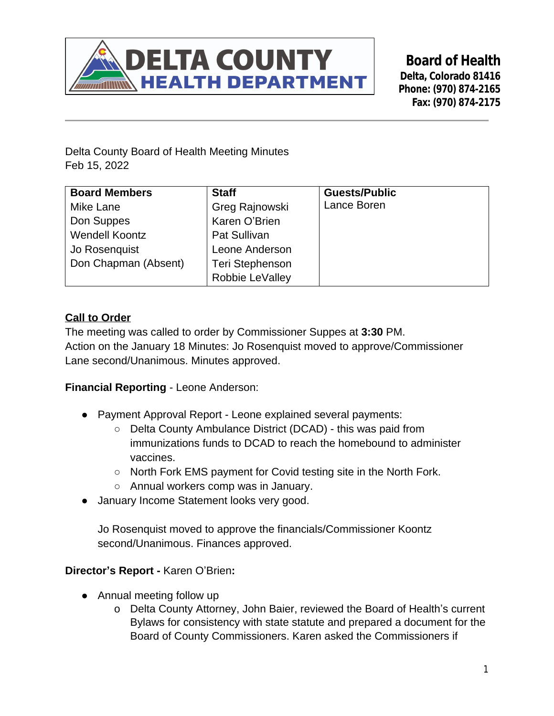

**Board of Health Delta, Colorado 81416 Phone: (970) 874-2165 Fax: (970) 874-2175**

Delta County Board of Health Meeting Minutes Feb 15, 2022

| <b>Board Members</b>  | <b>Staff</b>           | <b>Guests/Public</b> |
|-----------------------|------------------------|----------------------|
| Mike Lane             | Greg Rajnowski         | Lance Boren          |
| Don Suppes            | Karen O'Brien          |                      |
| <b>Wendell Koontz</b> | Pat Sullivan           |                      |
| Jo Rosenquist         | Leone Anderson         |                      |
| Don Chapman (Absent)  | <b>Teri Stephenson</b> |                      |
|                       | Robbie LeValley        |                      |

## **Call to Order**

The meeting was called to order by Commissioner Suppes at **3:30** PM. Action on the January 18 Minutes: Jo Rosenquist moved to approve/Commissioner Lane second/Unanimous. Minutes approved.

**Financial Reporting** - Leone Anderson:

- Payment Approval Report Leone explained several payments:
	- Delta County Ambulance District (DCAD) this was paid from immunizations funds to DCAD to reach the homebound to administer vaccines.
	- North Fork EMS payment for Covid testing site in the North Fork.
	- Annual workers comp was in January.
- January Income Statement looks very good.

Jo Rosenquist moved to approve the financials/Commissioner Koontz second/Unanimous. Finances approved.

**Director's Report -** Karen O'Brien**:**

- Annual meeting follow up
	- o Delta County Attorney, John Baier, reviewed the Board of Health's current Bylaws for consistency with state statute and prepared a document for the Board of County Commissioners. Karen asked the Commissioners if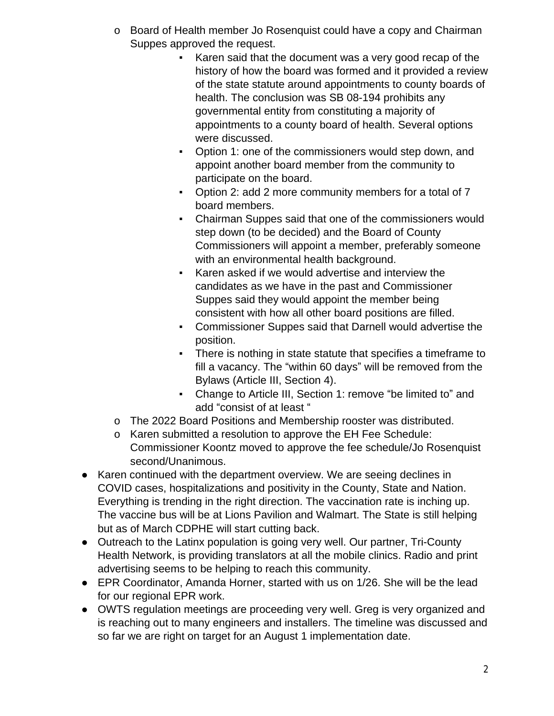- o Board of Health member Jo Rosenquist could have a copy and Chairman Suppes approved the request.
	- Karen said that the document was a very good recap of the history of how the board was formed and it provided a review of the state statute around appointments to county boards of health. The conclusion was SB 08-194 prohibits any governmental entity from constituting a majority of appointments to a county board of health. Several options were discussed.
	- Option 1: one of the commissioners would step down, and appoint another board member from the community to participate on the board.
	- Option 2: add 2 more community members for a total of 7 board members.
	- Chairman Suppes said that one of the commissioners would step down (to be decided) and the Board of County Commissioners will appoint a member, preferably someone with an environmental health background.
	- Karen asked if we would advertise and interview the candidates as we have in the past and Commissioner Suppes said they would appoint the member being consistent with how all other board positions are filled.
	- Commissioner Suppes said that Darnell would advertise the position.
	- There is nothing in state statute that specifies a timeframe to fill a vacancy. The "within 60 days" will be removed from the Bylaws (Article III, Section 4).
	- Change to Article III, Section 1: remove "be limited to" and add "consist of at least "
- o The 2022 Board Positions and Membership rooster was distributed.
- o Karen submitted a resolution to approve the EH Fee Schedule: Commissioner Koontz moved to approve the fee schedule/Jo Rosenquist second/Unanimous.
- Karen continued with the department overview. We are seeing declines in COVID cases, hospitalizations and positivity in the County, State and Nation. Everything is trending in the right direction. The vaccination rate is inching up. The vaccine bus will be at Lions Pavilion and Walmart. The State is still helping but as of March CDPHE will start cutting back.
- Outreach to the Latinx population is going very well. Our partner, Tri-County Health Network, is providing translators at all the mobile clinics. Radio and print advertising seems to be helping to reach this community.
- EPR Coordinator, Amanda Horner, started with us on 1/26. She will be the lead for our regional EPR work.
- OWTS regulation meetings are proceeding very well. Greg is very organized and is reaching out to many engineers and installers. The timeline was discussed and so far we are right on target for an August 1 implementation date.